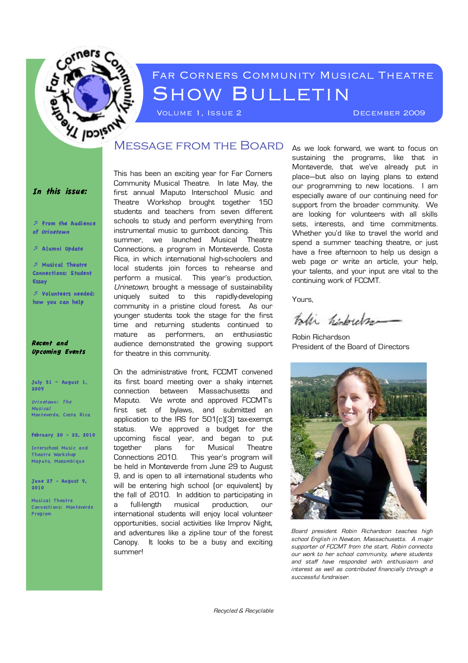

# Far Corners Community Musical Theatre SHOW BULLETIN

VOLUME 1, ISSUE 2 DECEMBER 2009

#### In this issue:

! From the Audience of Urinetown

! A lumni Update

! Musical Theatre Connections: S tudent Essay

! Volunteers needed: how you can help

#### Recent and Upcoming Events

#### July 31 – August 1, 2009

Urinetown: The Musi cal Monteverde, Costa Rica

February 20 - 22, 2010

Interschool Music and Theatre Workshop Maputo, Mozambi que

June 27 - August 9, 2010

Musi cal Theatre Connecti ons: Monteverde Progrom

This has been an exciting year for Far Corners Community Musical Theatre. In late May, the first annual Maputo Interschool Music and Theatre Workshop brought together 150 students and teachers from seven different schools to study and perform everything from instrumental music to gumboot dancing. This summer, we launched Musical Theatre Connections, a program in Monteverde, Costa Rica, in which international high-schoolers and local students join forces to rehearse and perform a musical. This year's production, Urinetown, brought a message of sustainability uniquely suited to this rapidly-developing community in a pristine cloud forest. As our younger students took the stage for the first time and returning students continued to mature as performers, an enthusiastic audience demonstrated the growing support for theatre in this community.

On the administrative front, FCCMT convened its first board meeting over a shaky internet connection between Massachusetts and Maputo. We wrote and approved FCCMT's first set of bylaws, and submitted an application to the IRS for 501(c)(3) tax-exempt status. We approved a budget for the upcoming fiscal year, and began to put together plans for Musical Theatre Connections 2010. This year's program will be held in Monteverde from June 29 to August 9, and is open to all international students who will be entering high school (or equivalent) by the fall of 2010. In addition to participating in a full-length musical production, our international students will enjoy local volunteer opportunities, social activities like Improv Night, and adventures like a zip-line tour of the forest Canopy. It looks to be a busy and exciting summer!

As we look forward, we want to focus on sustaining the programs, like that in Monteverde, that we've already put in place—but also on laying plans to extend our programming to new locations. I am especially aware of our continuing need for support from the broader community. We are looking for volunteers with all skills sets, interests, and time commitments. Whether you'd like to travel the world and spend a summer teaching theatre, or just have a free afternoon to help us design a web page or write an article, your help, your talents, and your input are vital to the continuing work of FCCMT.

Yours,

Palli hidrogen

Robin Richardson President of the Board of Directors



Board president Robin Richardson teaches high school English in Newton, Massachusetts. A major supporter of FCCMT from the start, Robin connects our work to her school community, where students and staff have responded with enthusiasm and interest as well as contributed financially through a successful fundraiser.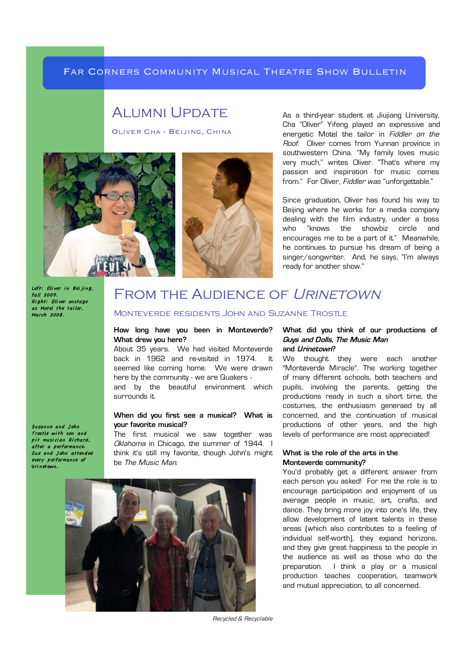#### Far Corners Community Musical Theatre Show Bulletin

# Alumni Update

Oliver Cha - Beijing, China





As a third-year student at Jiujiang University, Cha "Oliver" Yifeng played an expressive and energetic Motel the tailor in Fiddler on the Roof. Oliver comes from Yunnan province in southwestern China. "My family loves music very much," writes Oliver. "That's where my passion and inspiration for music comes from." For Oliver, Fiddler was "unforgettable."

Since graduation, Oliver has found his way to Beijing where he works for a media company dealing with the film industry, under a boss who "knows the showbiz circle and encourages me to be a part of it." Meanwhile, he continues to pursue his dream of being a singer/songwriter. And, he says, "I'm always ready for another show."

Left: Oliver in Beiling. fall 2009. Ri ght: Oli ver onstage as Motel the tai lor, March 2008.

Suzanne and John Trostle wi th son and  $pi$ t musician Richard. .<br>after a performance. Sue and John attended every performance of Uri netown.

# FROM THE AUDIENCE OF URINETOWN

#### Monteverde residents John and Suzanne Trostle

#### **How long have you been in Monteverde? What drew you here?**

About 35 years. We had visited Monteverde back in 1962 and re-visited in 1974. It seemed like coming home. We were drawn here by the community - we are Quakers and by the beautiful environment which surrounds it.

#### **When did you first see a musical? What is your favorite musical?**

The first musical we saw together was Oklahoma in Chicago, the summer of 1944. I think it's still my favorite, though John's might be The Music Man.



#### **What did you think of our productions of Guys and Dolls, The Music Man and Urinetown?**

We thought they were each another "Monteverde Miracle". The working together of many different schools, both teachers and pupils, involving the parents, getting the productions ready in such a short time, the costumes, the enthusiasm generaed by all concerned, and the continuation of musical productions of other years, and the high levels of performance are most appreciated!

#### **What is the role of the arts in the Monteverde community?**

You'd probably get a different answer from each person you asked! For me the role is to encourage participation and enjoyment of us average people in music, art, crafts, and dance. They bring more joy into one's life, they allow development of latent talents in these areas (which also contributes to a feeling of individual self-worth), they expand horizons, and they give great happiness to the people in the audience as well as those who do the preparation. I think a play or a musical production teaches cooperation, teamwork and mutual appreciation, to all concerned.

Recycled & Recyclable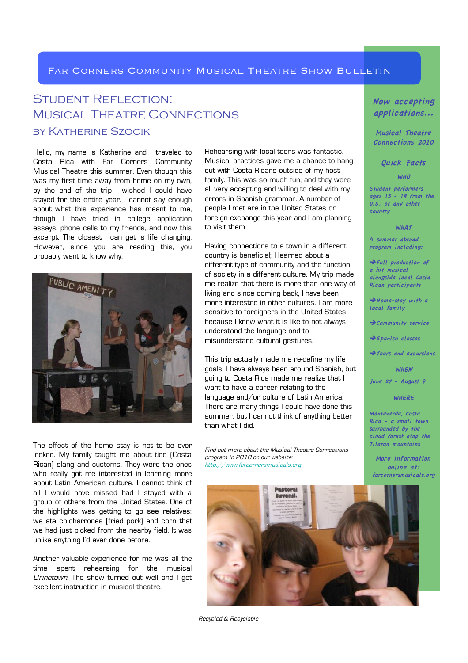#### FAR CORNERS COMMUNITY MUSICAL THEATRE SHOW BULLETIN

## Student Reflection: Musical Theatre Connections by Katherine Szocik

Hello, my name is Katherine and I traveled to Costa Rica with Far Corners Community Musical Theatre this summer. Even though this was my first time away from home on my own, by the end of the trip I wished I could have stayed for the entire year. I cannot say enough about what this experience has meant to me, though I have tried in college application essays, phone calls to my friends, and now this excerpt. The closest I can get is life changing. However, since you are reading this, you probably want to know why.



The effect of the home stay is not to be over looked. My family taught me about tico (Costa Rican) slang and customs. They were the ones who really got me interested in learning more about Latin American culture. I cannot think of all I would have missed had I stayed with a group of others from the United States. One of the highlights was getting to go see relatives; we ate chicharrones (fried pork) and corn that we had just picked from the nearby field. It was unlike anything I'd ever done before.

Another valuable experience for me was all the time spent rehearsing for the musical Urinetown. The show turned out well and I got excellent instruction in musical theatre.

Rehearsing with local teens was fantastic. Musical practices gave me a chance to hang out with Costa Ricans outside of my host family. This was so much fun, and they were all very accepting and willing to deal with my errors in Spanish grammar. A number of people I met are in the United States on foreign exchange this year and I am planning to visit them.

Having connections to a town in a different country is beneficial; I learned about a different type of community and the function of society in a different culture. My trip made me realize that there is more than one way of living and since coming back, I have been more interested in other cultures. I am more sensitive to foreigners in the United States because I know what it is like to not always understand the language and to misunderstand cultural gestures.

This trip actually made me re-define my life goals. I have always been around Spanish, but going to Costa Rica made me realize that I want to have a career relating to the language and/or culture of Latin America. There are many things I could have done this summer, but I cannot think of anything better than what I did.

Find out more about the Musical Theatre Connections program in 2010 on our website: http://www.farcornersmusicals.org

Now accepting applications...

Musical Theatre Connections 2010

Quick Facts

WHO

S tudent performers ages 13 - 18 from the  $U.S.$  or any other country

**WHAT** 

A summer abroad program including:

 $\rightarrow$  Full production of a hit musical alongside local Costa Rican participants

 $\rightarrow$  Home-stay with a local family

 $\rightarrow$  Community service

 $\rightarrow$ S panish classes

 $\rightarrow$  Tours and excursions

**WHEN** 

June 27 - August 9

#### **WHERE**

Monteverde, Costa Rica - a small town surrounded by the cloud forest atop the Ti laran mountains

More information online at: farcornersmusicals.org



Recycled & Recyclable